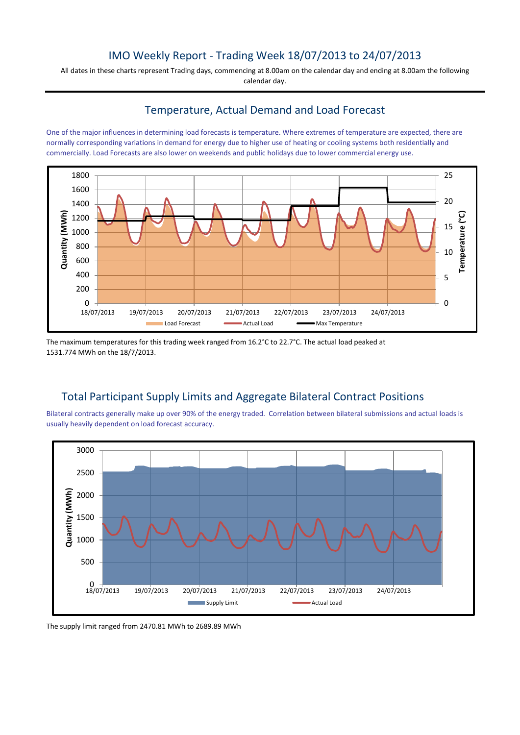## IMO Weekly Report - Trading Week 18/07/2013 to 24/07/2013

All dates in these charts represent Trading days, commencing at 8.00am on the calendar day and ending at 8.00am the following calendar day.

#### Temperature, Actual Demand and Load Forecast

One of the major influences in determining load forecasts is temperature. Where extremes of temperature are expected, there are normally corresponding variations in demand for energy due to higher use of heating or cooling systems both residentially and commercially. Load Forecasts are also lower on weekends and public holidays due to lower commercial energy use.



The maximum temperatures for this trading week ranged from 16.2°C to 22.7°C. The actual load peaked at 1531.774 MWh on the 18/7/2013.

# Total Participant Supply Limits and Aggregate Bilateral Contract Positions

Bilateral contracts generally make up over 90% of the energy traded. Correlation between bilateral submissions and actual loads is usually heavily dependent on load forecast accuracy.



The supply limit ranged from 2470.81 MWh to 2689.89 MWh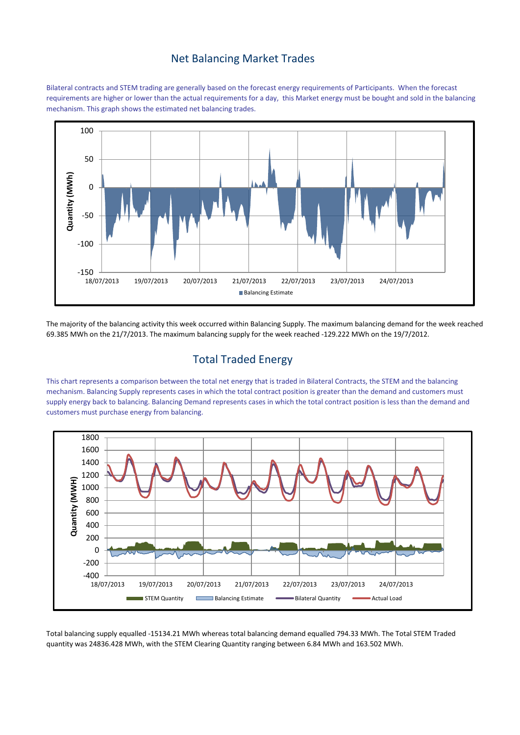#### Net Balancing Market Trades

Bilateral contracts and STEM trading are generally based on the forecast energy requirements of Participants. When the forecast requirements are higher or lower than the actual requirements for a day, this Market energy must be bought and sold in the balancing mechanism. This graph shows the estimated net balancing trades.



The majority of the balancing activity this week occurred within Balancing Supply. The maximum balancing demand for the week reached 69.385 MWh on the 21/7/2013. The maximum balancing supply for the week reached -129.222 MWh on the 19/7/2012.

# Total Traded Energy

This chart represents a comparison between the total net energy that is traded in Bilateral Contracts, the STEM and the balancing mechanism. Balancing Supply represents cases in which the total contract position is greater than the demand and customers must supply energy back to balancing. Balancing Demand represents cases in which the total contract position is less than the demand and customers must purchase energy from balancing.



Total balancing supply equalled -15134.21 MWh whereas total balancing demand equalled 794.33 MWh. The Total STEM Traded quantity was 24836.428 MWh, with the STEM Clearing Quantity ranging between 6.84 MWh and 163.502 MWh.